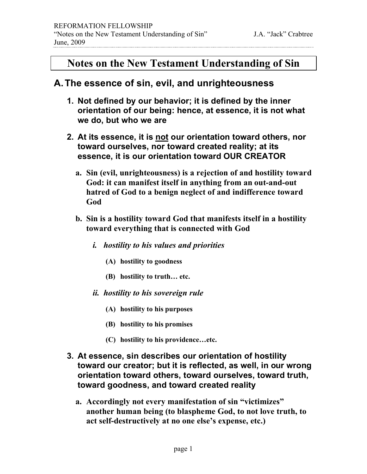## **Notes on the New Testament Understanding of Sin**

#### **A.The essence of sin, evil, and unrighteousness**

- **1. Not defined by our behavior; it is defined by the inner orientation of our being: hence, at essence, it is not what we do, but who we are**
- **2. At its essence, it is not our orientation toward others, nor toward ourselves, nor toward created reality; at its essence, it is our orientation toward OUR CREATOR**
	- **a. Sin (evil, unrighteousness) is a rejection of and hostility toward God: it can manifest itself in anything from an out-and-out hatred of God to a benign neglect of and indifference toward God**
	- **b. Sin is a hostility toward God that manifests itself in a hostility toward everything that is connected with God**
		- *i. hostility to his values and priorities*
			- **(A) hostility to goodness**
			- **(B) hostility to truth… etc.**
		- *ii. hostility to his sovereign rule*
			- **(A) hostility to his purposes**
			- **(B) hostility to his promises**
			- **(C) hostility to his providence…etc.**
- **3. At essence, sin describes our orientation of hostility toward our creator; but it is reflected, as well, in our wrong orientation toward others, toward ourselves, toward truth, toward goodness, and toward created reality**
	- **a. Accordingly not every manifestation of sin "victimizes" another human being (to blaspheme God, to not love truth, to act self-destructively at no one else's expense, etc.)**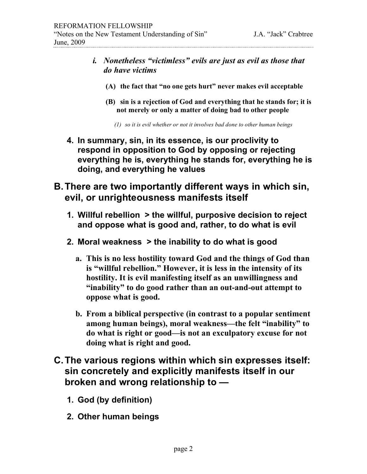- *i. Nonetheless "victimless" evils are just as evil as those that do have victims*
	- **(A) the fact that "no one gets hurt" never makes evil acceptable**
	- **(B) sin is a rejection of God and everything that he stands for; it is not merely or only a matter of doing bad to other people**

*(1) so it is evil whether or not it involves bad done to other human beings*

- **4. In summary, sin, in its essence, is our proclivity to respond in opposition to God by opposing or rejecting everything he is, everything he stands for, everything he is doing, and everything he values**
- **B.There are two importantly different ways in which sin, evil, or unrighteousness manifests itself**
	- **1. Willful rebellion > the willful, purposive decision to reject and oppose what is good and, rather, to do what is evil**
	- **2. Moral weakness > the inability to do what is good**
		- **a. This is no less hostility toward God and the things of God than is "willful rebellion." However, it is less in the intensity of its hostility. It is evil manifesting itself as an unwillingness and "inability" to do good rather than an out-and-out attempt to oppose what is good.**
		- **b. From a biblical perspective (in contrast to a popular sentiment among human beings), moral weakness—the felt "inability" to do what is right or good—is not an exculpatory excuse for not doing what is right and good.**
- **C.The various regions within which sin expresses itself: sin concretely and explicitly manifests itself in our broken and wrong relationship to —**
	- **1. God (by definition)**
	- **2. Other human beings**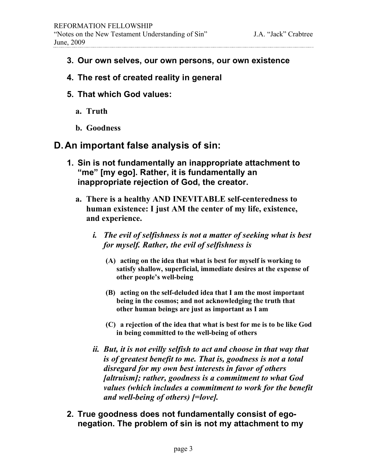- **3. Our own selves, our own persons, our own existence**
- **4. The rest of created reality in general**
- **5. That which God values:**
	- **a. Truth**
	- **b. Goodness**

## **D.An important false analysis of sin:**

- **1. Sin is not fundamentally an inappropriate attachment to "me" [my ego]. Rather, it is fundamentally an inappropriate rejection of God, the creator.**
	- **a. There is a healthy AND INEVITABLE self-centeredness to human existence: I just AM the center of my life, existence, and experience.**
		- *i. The evil of selfishness is not a matter of seeking what is best for myself. Rather, the evil of selfishness is* 
			- **(A) acting on the idea that what is best for myself is working to satisfy shallow, superficial, immediate desires at the expense of other people's well-being**
			- **(B) acting on the self-deluded idea that I am the most important being in the cosmos; and not acknowledging the truth that other human beings are just as important as I am**
			- **(C) a rejection of the idea that what is best for me is to be like God in being committed to the well-being of others**
		- *ii. But, it is not evilly selfish to act and choose in that way that is of greatest benefit to me. That is, goodness is not a total disregard for my own best interests in favor of others [altruism]; rather, goodness is a commitment to what God values (which includes a commitment to work for the benefit and well-being of others) [=love].*
- **2. True goodness does not fundamentally consist of egonegation. The problem of sin is not my attachment to my**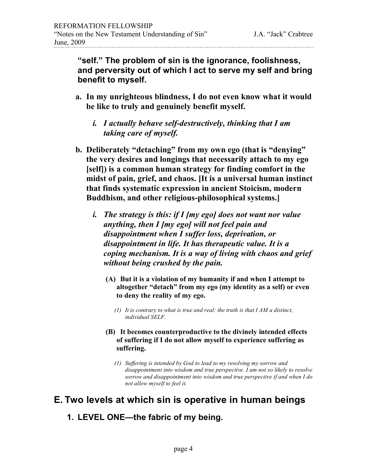**"self." The problem of sin is the ignorance, foolishness, and perversity out of which I act to serve my self and bring benefit to myself.**

- **a. In my unrighteous blindness, I do not even know what it would be like to truly and genuinely benefit myself.** 
	- *i. I actually behave self-destructively, thinking that I am taking care of myself.*
- **b. Deliberately "detaching" from my own ego (that is "denying" the very desires and longings that necessarily attach to my ego [self]) is a common human strategy for finding comfort in the midst of pain, grief, and chaos. [It is a universal human instinct that finds systematic expression in ancient Stoicism, modern Buddhism, and other religious-philosophical systems.]**
	- *i. The strategy is this: if I [my ego] does not want nor value anything, then I [my ego] will not feel pain and disappointment when I suffer loss, deprivation, or disappointment in life. It has therapeutic value. It is a coping mechanism. It is a way of living with chaos and grief without being crushed by the pain.*
		- **(A) But it is a violation of my humanity if and when I attempt to altogether "detach" from my ego (my identity as a self) or even to deny the reality of my ego.**
			- *(1) It is contrary to what is true and real: the truth is that I AM a distinct, individual SELF.*
		- **(B) It becomes counterproductive to the divinely intended effects of suffering if I do not allow myself to experience suffering as suffering.**
			- *(1) Suffering is intended by God to lead to my resolving my sorrow and disappointment into wisdom and true perspective. I am not so likely to resolve sorrow and disappointment into wisdom and true perspective if and when I do not allow myself to feel it.*

# **E. Two levels at which sin is operative in human beings**

**1. LEVEL ONE—the fabric of my being.**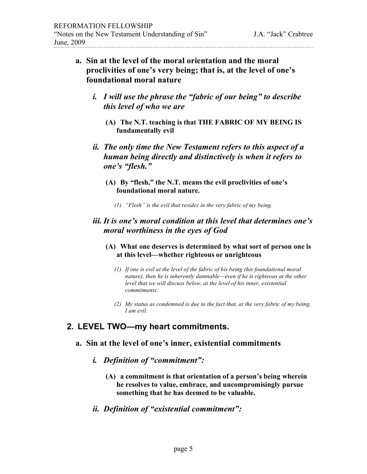- **a. Sin at the level of the moral orientation and the moral proclivities of one's very being; that is, at the level of one's foundational moral nature**
	- *i. I will use the phrase the "fabric of our being" to describe this level of who we are*
		- **(A) The N.T. teaching is that THE FABRIC OF MY BEING IS fundamentally evil**
	- *ii. The only time the New Testament refers to this aspect of a human being directly and distinctively is when it refers to one's "flesh."*
		- **(A) By "flesh," the N.T. means the evil proclivities of one's foundational moral nature.**
			- *(1) "Flesh" is the evil that resides in the very fabric of my being.*

#### *iii. It is one's moral condition at this level that determines one's moral worthiness in the eyes of God*

#### **(A) What one deserves is determined by what sort of person one is at this level—whether righteous or unrighteous**

- *(1) If one is evil at the level of the fabric of his being (his foundational moral nature), then he is inherently damnable—even if he is righteous at the other level that we will discuss below, at the level of his inner, existential commitments.*
- *(2) My status as condemned is due to the fact that, at the very fabric of my being, I am evil.*

## **2. LEVEL TWO—my heart commitments.**

#### **a. Sin at the level of one's inner, existential commitments**

- *i. Definition of "commitment":* 
	- **(A) a commitment is that orientation of a person's being wherein he resolves to value, embrace, and uncompromisingly pursue something that he has deemed to be valuable.**
- *ii. Definition of "existential commitment":*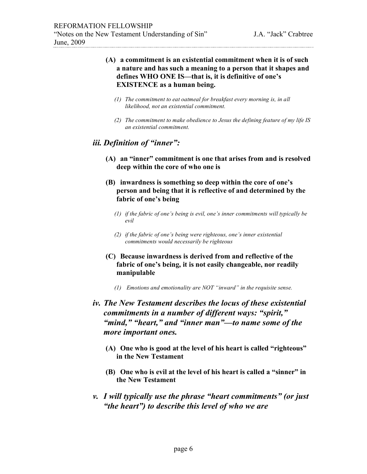#### **(A) a commitment is an existential commitment when it is of such a nature and has such a meaning to a person that it shapes and defines WHO ONE IS—that is, it is definitive of one's EXISTENCE as a human being.**

- *(1) The commitment to eat oatmeal for breakfast every morning is, in all likelihood, not an existential commitment.*
- *(2) The commitment to make obedience to Jesus the defining feature of my life IS an existential commitment.*

#### *iii. Definition of "inner":*

- **(A) an "inner" commitment is one that arises from and is resolved deep within the core of who one is**
- **(B) inwardness is something so deep within the core of one's person and being that it is reflective of and determined by the fabric of one's being**
	- *(1) if the fabric of one's being is evil, one's inner commitments will typically be evil*
	- *(2) if the fabric of one's being were righteous, one's inner existential commitments would necessarily be righteous*
- **(C) Because inwardness is derived from and reflective of the fabric of one's being, it is not easily changeable, nor readily manipulable**
	- *(1) Emotions and emotionality are NOT "inward" in the requisite sense.*
- *iv. The New Testament describes the locus of these existential commitments in a number of different ways: "spirit," "mind," "heart," and "inner man"—to name some of the more important ones.*
	- **(A) One who is good at the level of his heart is called "righteous" in the New Testament**
	- **(B) One who is evil at the level of his heart is called a "sinner" in the New Testament**
- *v. I will typically use the phrase "heart commitments" (or just "the heart") to describe this level of who we are*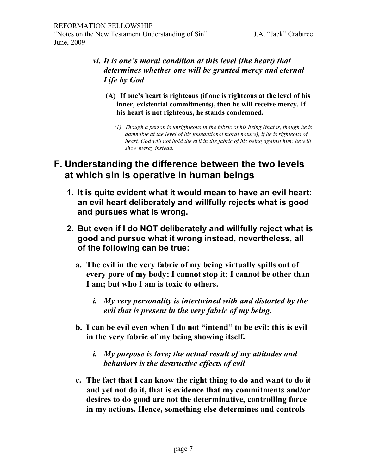- *vi. It is one's moral condition at this level (the heart) that determines whether one will be granted mercy and eternal Life by God*
	- **(A) If one's heart is righteous (if one is righteous at the level of his inner, existential commitments), then he will receive mercy. If his heart is not righteous, he stands condemned.**
		- *(1) Though a person is unrighteous in the fabric of his being (that is, though he is damnable at the level of his foundational moral nature), if he is righteous of heart, God will not hold the evil in the fabric of his being against him; he will show mercy instead.*

## **F. Understanding the difference between the two levels at which sin is operative in human beings**

- **1. It is quite evident what it would mean to have an evil heart: an evil heart deliberately and willfully rejects what is good and pursues what is wrong.**
- **2. But even if I do NOT deliberately and willfully reject what is good and pursue what it wrong instead, nevertheless, all of the following can be true:**
	- **a. The evil in the very fabric of my being virtually spills out of every pore of my body; I cannot stop it; I cannot be other than I am; but who I am is toxic to others.**
		- *i. My very personality is intertwined with and distorted by the evil that is present in the very fabric of my being.*
	- **b. I can be evil even when I do not "intend" to be evil: this is evil in the very fabric of my being showing itself.**
		- *i. My purpose is love; the actual result of my attitudes and behaviors is the destructive effects of evil*
	- **c. The fact that I can know the right thing to do and want to do it and yet not do it, that is evidence that my commitments and/or desires to do good are not the determinative, controlling force in my actions. Hence, something else determines and controls**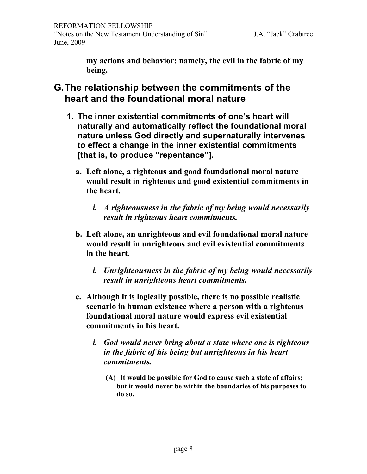**my actions and behavior: namely, the evil in the fabric of my being.**

- **G.The relationship between the commitments of the heart and the foundational moral nature**
	- **1. The inner existential commitments of one's heart will naturally and automatically reflect the foundational moral nature unless God directly and supernaturally intervenes to effect a change in the inner existential commitments [that is, to produce "repentance"].**
		- **a. Left alone, a righteous and good foundational moral nature would result in righteous and good existential commitments in the heart.** 
			- *i. A righteousness in the fabric of my being would necessarily result in righteous heart commitments.*
		- **b. Left alone, an unrighteous and evil foundational moral nature would result in unrighteous and evil existential commitments in the heart.**
			- *i. Unrighteousness in the fabric of my being would necessarily result in unrighteous heart commitments.*
		- **c. Although it is logically possible, there is no possible realistic scenario in human existence where a person with a righteous foundational moral nature would express evil existential commitments in his heart.**
			- *i. God would never bring about a state where one is righteous in the fabric of his being but unrighteous in his heart commitments.*
				- **(A) It would be possible for God to cause such a state of affairs; but it would never be within the boundaries of his purposes to do so.**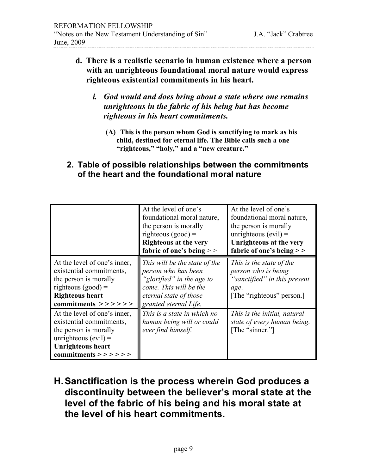- **d. There is a realistic scenario in human existence where a person with an unrighteous foundational moral nature would express righteous existential commitments in his heart.** 
	- *i. God would and does bring about a state where one remains unrighteous in the fabric of his being but has become righteous in his heart commitments.*
		- **(A) This is the person whom God is sanctifying to mark as his child, destined for eternal life. The Bible calls such a one "righteous," "holy," and a "new creature."**
- **2. Table of possible relationships between the commitments of the heart and the foundational moral nature**

|                                                                                                                                                                                 | At the level of one's<br>foundational moral nature,<br>the person is morally<br>righteous $(good) =$<br><b>Righteous at the very</b><br>fabric of one's being $>$ | At the level of one's<br>foundational moral nature,<br>the person is morally<br>unrighteous $(evil)$ =<br>Unrighteous at the very<br>fabric of one's being $>$ |
|---------------------------------------------------------------------------------------------------------------------------------------------------------------------------------|-------------------------------------------------------------------------------------------------------------------------------------------------------------------|----------------------------------------------------------------------------------------------------------------------------------------------------------------|
| At the level of one's inner,<br>existential commitments,<br>the person is morally<br>righteous $(good) =$<br><b>Righteous heart</b><br>commitments $\gt$ > > > > >              | This will be the state of the<br>person who has been<br>"glorified" in the age to<br>come. This will be the<br>eternal state of those<br>granted eternal Life.    | This is the state of the<br>person who is being<br>"sanctified" in this present<br>age.<br>[The "righteous" person.]                                           |
| At the level of one's inner,<br>existential commitments,<br>the person is morally<br>unrighteous $(evil)$ =<br><b>Unrighteous heart</b><br>$commiments \gt \gt \gt \gt \gt \gt$ | This is a state in which no<br>human being will or could<br>ever find himself.                                                                                    | This is the initial, natural<br>state of every human being.<br>[The "sinner."]                                                                                 |

**H.Sanctification is the process wherein God produces a discontinuity between the believer's moral state at the level of the fabric of his being and his moral state at the level of his heart commitments.**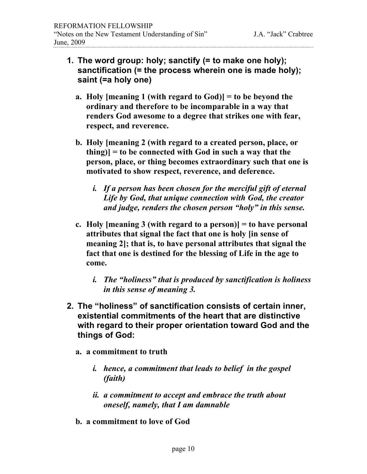- **1. The word group: holy; sanctify (= to make one holy); sanctification (= the process wherein one is made holy); saint (=a holy one)**
	- **a. Holy [meaning 1 (with regard to God)] = to be beyond the ordinary and therefore to be incomparable in a way that renders God awesome to a degree that strikes one with fear, respect, and reverence.**
	- **b. Holy [meaning 2 (with regard to a created person, place, or thing)] = to be connected with God in such a way that the person, place, or thing becomes extraordinary such that one is motivated to show respect, reverence, and deference.**
		- *i. If a person has been chosen for the merciful gift of eternal Life by God, that unique connection with God, the creator and judge, renders the chosen person "holy" in this sense.*
	- **c. Holy [meaning 3 (with regard to a person)] = to have personal attributes that signal the fact that one is holy [in sense of meaning 2]; that is, to have personal attributes that signal the fact that one is destined for the blessing of Life in the age to come.**
		- *i. The "holiness" that is produced by sanctification is holiness in this sense of meaning 3.*
- **2. The "holiness" of sanctification consists of certain inner, existential commitments of the heart that are distinctive with regard to their proper orientation toward God and the things of God:**
	- **a. a commitment to truth**
		- *i. hence, a commitment that leads to belief in the gospel (faith)*
		- *ii. a commitment to accept and embrace the truth about oneself, namely, that I am damnable*
	- **b. a commitment to love of God**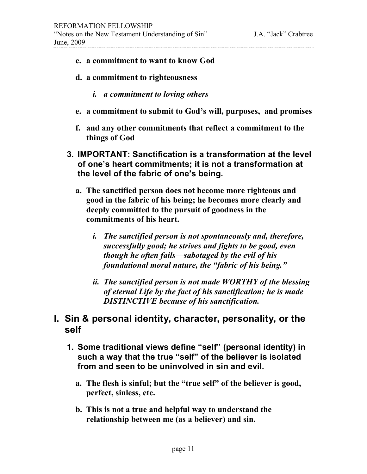- **c. a commitment to want to know God**
- **d. a commitment to righteousness** 
	- *i. a commitment to loving others*
- **e. a commitment to submit to God's will, purposes, and promises**
- **f. and any other commitments that reflect a commitment to the things of God**
- **3. IMPORTANT: Sanctification is a transformation at the level of one's heart commitments; it is not a transformation at the level of the fabric of one's being.**
	- **a. The sanctified person does not become more righteous and good in the fabric of his being; he becomes more clearly and deeply committed to the pursuit of goodness in the commitments of his heart.**
		- *i. The sanctified person is not spontaneously and, therefore, successfully good; he strives and fights to be good, even though he often fails—sabotaged by the evil of his foundational moral nature, the "fabric of his being."*
		- *ii. The sanctified person is not made WORTHY of the blessing of eternal Life by the fact of his sanctification; he is made DISTINCTIVE because of his sanctification.*

## **I. Sin & personal identity, character, personality, or the self**

- **1. Some traditional views define "self" (personal identity) in such a way that the true "self" of the believer is isolated from and seen to be uninvolved in sin and evil.**
	- **a. The flesh is sinful; but the "true self" of the believer is good, perfect, sinless, etc.**
	- **b. This is not a true and helpful way to understand the relationship between me (as a believer) and sin.**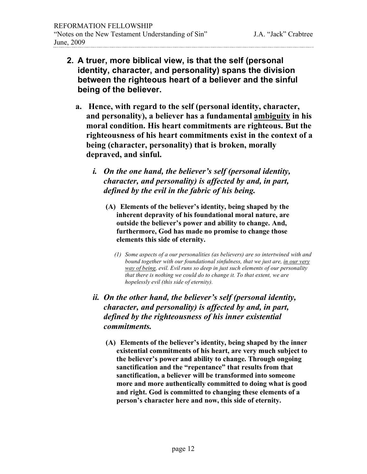- **2. A truer, more biblical view, is that the self (personal identity, character, and personality) spans the division between the righteous heart of a believer and the sinful being of the believer.**
	- **a. Hence, with regard to the self (personal identity, character, and personality), a believer has a fundamental ambiguity in his moral condition. His heart commitments are righteous. But the righteousness of his heart commitments exist in the context of a being (character, personality) that is broken, morally depraved, and sinful.**
		- *i. On the one hand, the believer's self (personal identity, character, and personality) is affected by and, in part, defined by the evil in the fabric of his being.*
			- **(A) Elements of the believer's identity, being shaped by the inherent depravity of his foundational moral nature, are outside the believer's power and ability to change. And, furthermore, God has made no promise to change those elements this side of eternity.**
				- *(1) Some aspects of a our personalities (as believers) are so intertwined with and bound together with our foundational sinfulness, that we just are, in our very way of being, evil. Evil runs so deep in just such elements of our personality that there is nothing we could do to change it. To that extent, we are hopelessly evil (this side of eternity).*
		- *ii. On the other hand, the believer's self (personal identity, character, and personality) is affected by and, in part, defined by the righteousness of his inner existential commitments.*
			- **(A) Elements of the believer's identity, being shaped by the inner existential commitments of his heart, are very much subject to the believer's power and ability to change. Through ongoing sanctification and the "repentance" that results from that sanctification, a believer will be transformed into someone more and more authentically committed to doing what is good and right. God is committed to changing these elements of a person's character here and now, this side of eternity.**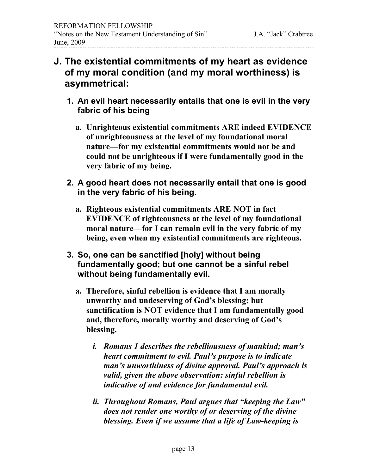## **J. The existential commitments of my heart as evidence of my moral condition (and my moral worthiness) is asymmetrical:**

- **1. An evil heart necessarily entails that one is evil in the very fabric of his being**
	- **a. Unrighteous existential commitments ARE indeed EVIDENCE of unrighteousness at the level of my foundational moral nature—for my existential commitments would not be and could not be unrighteous if I were fundamentally good in the very fabric of my being.**
- **2. A good heart does not necessarily entail that one is good in the very fabric of his being.**
	- **a. Righteous existential commitments ARE NOT in fact EVIDENCE of righteousness at the level of my foundational moral nature—for I can remain evil in the very fabric of my being, even when my existential commitments are righteous.**
- **3. So, one can be sanctified [holy] without being fundamentally good; but one cannot be a sinful rebel without being fundamentally evil.**
	- **a. Therefore, sinful rebellion is evidence that I am morally unworthy and undeserving of God's blessing; but sanctification is NOT evidence that I am fundamentally good and, therefore, morally worthy and deserving of God's blessing.**
		- *i. Romans 1 describes the rebelliousness of mankind; man's heart commitment to evil. Paul's purpose is to indicate man's unworthiness of divine approval. Paul's approach is valid, given the above observation: sinful rebellion is indicative of and evidence for fundamental evil.*
		- *ii. Throughout Romans, Paul argues that "keeping the Law" does not render one worthy of or deserving of the divine blessing. Even if we assume that a life of Law-keeping is*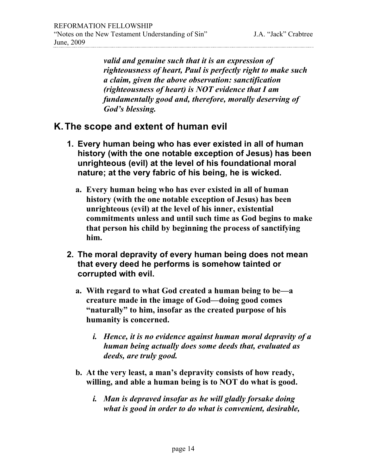*valid and genuine such that it is an expression of righteousness of heart, Paul is perfectly right to make such a claim, given the above observation: sanctification (righteousness of heart) is NOT evidence that I am fundamentally good and, therefore, morally deserving of God's blessing.*

## **K.The scope and extent of human evil**

- **1. Every human being who has ever existed in all of human history (with the one notable exception of Jesus) has been unrighteous (evil) at the level of his foundational moral nature; at the very fabric of his being, he is wicked.**
	- **a. Every human being who has ever existed in all of human history (with the one notable exception of Jesus) has been unrighteous (evil) at the level of his inner, existential commitments unless and until such time as God begins to make that person his child by beginning the process of sanctifying him.**
- **2. The moral depravity of every human being does not mean that every deed he performs is somehow tainted or corrupted with evil.**
	- **a. With regard to what God created a human being to be—a creature made in the image of God—doing good comes "naturally" to him, insofar as the created purpose of his humanity is concerned.**
		- *i. Hence, it is no evidence against human moral depravity of a human being actually does some deeds that, evaluated as deeds, are truly good.*
	- **b. At the very least, a man's depravity consists of how ready, willing, and able a human being is to NOT do what is good.**
		- *i. Man is depraved insofar as he will gladly forsake doing what is good in order to do what is convenient, desirable,*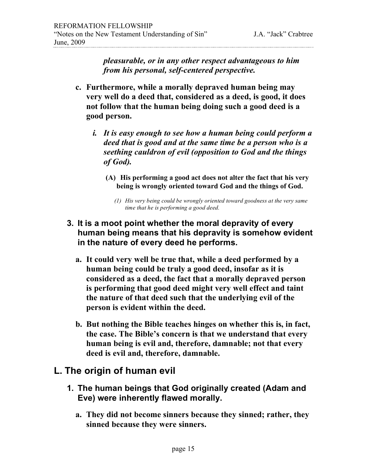*pleasurable, or in any other respect advantageous to him from his personal, self-centered perspective.*

- **c. Furthermore, while a morally depraved human being may very well do a deed that, considered as a deed, is good, it does not follow that the human being doing such a good deed is a good person.** 
	- *i. It is easy enough to see how a human being could perform a deed that is good and at the same time be a person who is a seething cauldron of evil (opposition to God and the things of God).* 
		- **(A) His performing a good act does not alter the fact that his very being is wrongly oriented toward God and the things of God.**
			- *(1) His very being could be wrongly oriented toward goodness at the very same time that he is performing a good deed.*

#### **3. It is a moot point whether the moral depravity of every human being means that his depravity is somehow evident in the nature of every deed he performs.**

- **a. It could very well be true that, while a deed performed by a human being could be truly a good deed, insofar as it is considered as a deed, the fact that a morally depraved person is performing that good deed might very well effect and taint the nature of that deed such that the underlying evil of the person is evident within the deed.**
- **b. But nothing the Bible teaches hinges on whether this is, in fact, the case. The Bible's concern is that we understand that every human being is evil and, therefore, damnable; not that every deed is evil and, therefore, damnable.**

## **L. The origin of human evil**

- **1. The human beings that God originally created (Adam and Eve) were inherently flawed morally.**
	- **a. They did not become sinners because they sinned; rather, they sinned because they were sinners.**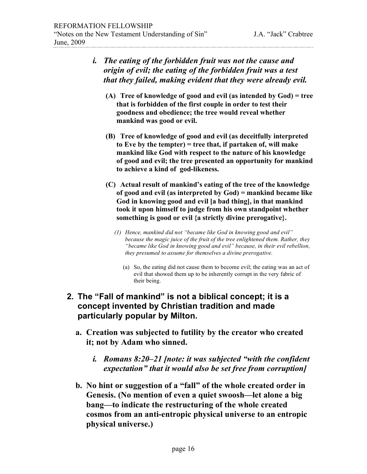| i. | The eating of the forbidden fruit was not the cause and<br>origin of evil; the eating of the forbidden fruit was a test<br>that they failed, making evident that they were already evil.                                                                                                                     |
|----|--------------------------------------------------------------------------------------------------------------------------------------------------------------------------------------------------------------------------------------------------------------------------------------------------------------|
|    | (A) Tree of knowledge of good and evil (as intended by $God$ ) = tree<br>that is forbidden of the first couple in order to test their<br>goodness and obedience; the tree would reveal whether<br>mankind was good or evil.                                                                                  |
|    | (B) Tree of knowledge of good and evil (as deceitfully interpreted<br>to Eve by the tempter) = tree that, if partaken of, will make<br>mankind like God with respect to the nature of his knowledge<br>of good and evil; the tree presented an opportunity for mankind<br>to achieve a kind of god-likeness. |

- **(C) Actual result of mankind's eating of the tree of the knowledge of good and evil (as interpreted by God) = mankind became like God in knowing good and evil [a bad thing], in that mankind took it upon himself to judge from his own standpoint whether something is good or evil {a strictly divine prerogative}.**
	- *(1) Hence, mankind did not "became like God in knowing good and evil" because the magic juice of the fruit of the tree enlightened them. Rather, they "became like God in knowing good and evil" because, in their evil rebellion, they presumed to assume for themselves a divine prerogative.*
		- (a) So, the eating did not cause them to become evil; the eating was an act of evil that showed them up to be inherently corrupt in the very fabric of their being.
- **2. The "Fall of mankind" is not a biblical concept; it is a concept invented by Christian tradition and made particularly popular by Milton.**
	- **a. Creation was subjected to futility by the creator who created it; not by Adam who sinned.** 
		- *i. Romans 8:20–21 [note: it was subjected "with the confident expectation" that it would also be set free from corruption]*
	- **b. No hint or suggestion of a "fall" of the whole created order in Genesis. (No mention of even a quiet swoosh—let alone a big bang—to indicate the restructuring of the whole created cosmos from an anti-entropic physical universe to an entropic physical universe.)**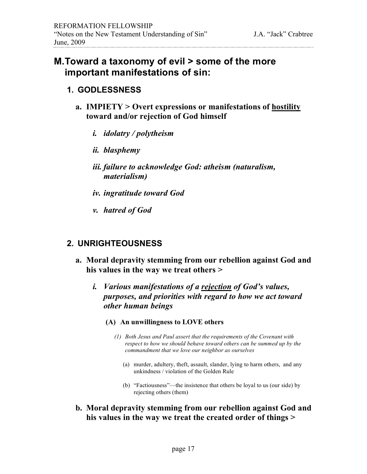#### **M.Toward a taxonomy of evil > some of the more important manifestations of sin:**

#### **1. GODLESSNESS**

- **a. IMPIETY > Overt expressions or manifestations of hostility toward and/or rejection of God himself**
	- *i. idolatry / polytheism*
	- *ii. blasphemy*
	- *iii. failure to acknowledge God: atheism (naturalism, materialism)*
	- *iv. ingratitude toward God*
	- *v. hatred of God*

#### **2. UNRIGHTEOUSNESS**

- **a. Moral depravity stemming from our rebellion against God and his values in the way we treat others >** 
	- *i. Various manifestations of a rejection of God's values, purposes, and priorities with regard to how we act toward other human beings*
		- **(A) An unwillingness to LOVE others**
			- *(1) Both Jesus and Paul assert that the requirements of the Covenant with respect to how we should behave toward others can be summed up by the commandment that we love our neighbor as ourselves*
				- (a) murder, adultery, theft, assault, slander, lying to harm others, and any unkindness / violation of the Golden Rule
				- (b) "Factiousness"—the insistence that others be loyal to us (our side) by rejecting others (them)
- **b. Moral depravity stemming from our rebellion against God and his values in the way we treat the created order of things >**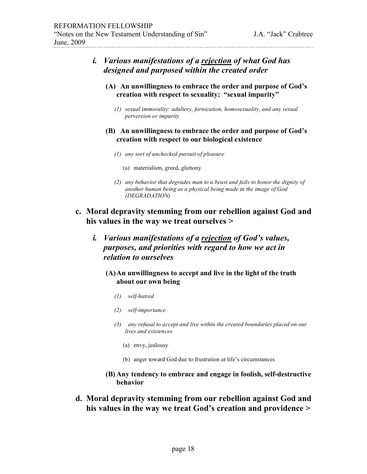| <i>i. Various manifestations of a <u>rejection</u> of what God has</i> |
|------------------------------------------------------------------------|
| designed and purposed within the created order                         |

- **(A) An unwillingness to embrace the order and purpose of God's creation with respect to sexuality: "sexual impurity"**
	- *(1) sexual immorality: adultery, fornication, homosexuality, and any sexual perversion or impurity*
- **(B) An unwillingness to embrace the order and purpose of God's creation with respect to our biological existence**
	- *(1) any sort of unchecked pursuit of pleasure*
		- (a) materialism, greed, gluttony
	- *(2) any behavior that degrades man to a beast and fails to honor the dignity of another human being as a physical being made in the image of God (DEGRADATION)*
- **c. Moral depravity stemming from our rebellion against God and his values in the way we treat ourselves >**
	- *i. Various manifestations of a rejection of God's values, purposes, and priorities with regard to how we act in relation to ourselves*
		- **(A)An unwillingness to accept and live in the light of the truth about our own being**
			- *(1) self-hatred*
			- *(2) self-importance*
			- *(3) any refusal to accept and live within the created boundaries placed on our lives and existences*
				- (a) envy, jealousy
				- (b) anger toward God due to frustration at life's circumstances
		- **(B) Any tendency to embrace and engage in foolish, self-destructive behavior**
- **d. Moral depravity stemming from our rebellion against God and his values in the way we treat God's creation and providence >**